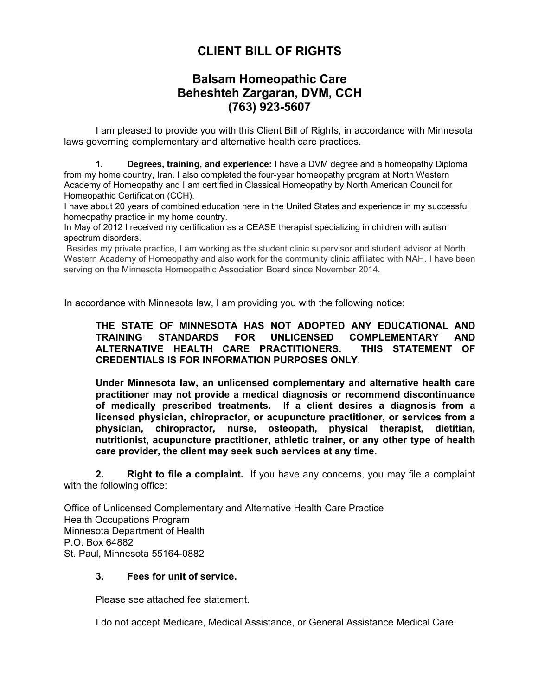## **CLIENT BILL OF RIGHTS**

## **Balsam Homeopathic Care Beheshteh Zargaran, DVM, CCH (763) 923-5607**

 I am pleased to provide you with this Client Bill of Rights, in accordance with Minnesota laws governing complementary and alternative health care practices.

**1. Degrees, training, and experience:** I have a DVM degree and a homeopathy Diploma from my home country, Iran. I also completed the four-year homeopathy program at North Western Academy of Homeopathy and I am certified in Classical Homeopathy by North American Council for Homeopathic Certification (CCH).

I have about 20 years of combined education here in the United States and experience in my successful homeopathy practice in my home country.

In May of 2012 I received my certification as a CEASE therapist specializing in children with autism spectrum disorders.

Besides my private practice, I am working as the student clinic supervisor and student advisor at North Western Academy of Homeopathy and also work for the community clinic affiliated with NAH. I have been serving on the Minnesota Homeopathic Association Board since November 2014.

In accordance with Minnesota law, I am providing you with the following notice:

**THE STATE OF MINNESOTA HAS NOT ADOPTED ANY EDUCATIONAL AND TRAINING STANDARDS FOR UNLICENSED COMPLEMENTARY AND ALTERNATIVE HEALTH CARE PRACTITIONERS. THIS STATEMENT OF CREDENTIALS IS FOR INFORMATION PURPOSES ONLY**.

**Under Minnesota law, an unlicensed complementary and alternative health care practitioner may not provide a medical diagnosis or recommend discontinuance of medically prescribed treatments. If a client desires a diagnosis from a licensed physician, chiropractor, or acupuncture practitioner, or services from a physician, chiropractor, nurse, osteopath, physical therapist, dietitian, nutritionist, acupuncture practitioner, athletic trainer, or any other type of health care provider, the client may seek such services at any time**.

**2. Right to file a complaint.** If you have any concerns, you may file a complaint with the following office:

Office of Unlicensed Complementary and Alternative Health Care Practice Health Occupations Program Minnesota Department of Health P.O. Box 64882 St. Paul, Minnesota 55164-0882

## **3. Fees for unit of service.**

Please see attached fee statement.

I do not accept Medicare, Medical Assistance, or General Assistance Medical Care.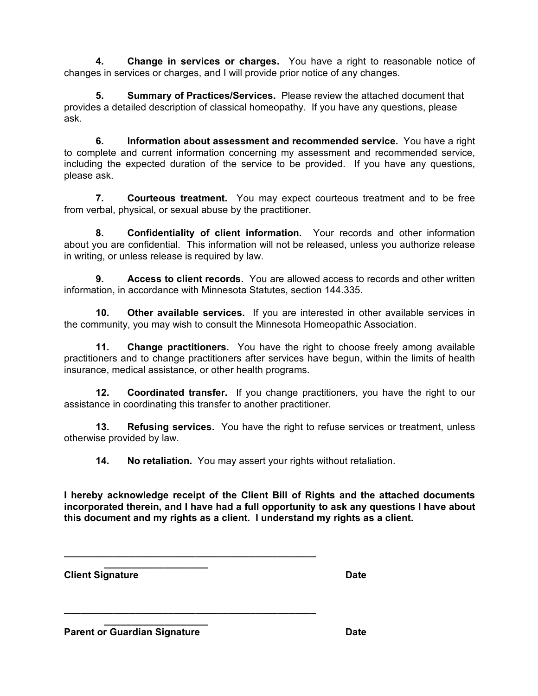**4. Change in services or charges.** You have a right to reasonable notice of changes in services or charges, and I will provide prior notice of any changes.

**5. Summary of Practices/Services.** Please review the attached document that provides a detailed description of classical homeopathy. If you have any questions, please ask.

**6. Information about assessment and recommended service.** You have a right to complete and current information concerning my assessment and recommended service, including the expected duration of the service to be provided. If you have any questions, please ask.

**7. Courteous treatment.** You may expect courteous treatment and to be free from verbal, physical, or sexual abuse by the practitioner.

**8. Confidentiality of client information.** Your records and other information about you are confidential. This information will not be released, unless you authorize release in writing, or unless release is required by law.

**9. Access to client records.** You are allowed access to records and other written information, in accordance with Minnesota Statutes, section 144.335.

**10. Other available services.** If you are interested in other available services in the community, you may wish to consult the Minnesota Homeopathic Association.

**11. Change practitioners.** You have the right to choose freely among available practitioners and to change practitioners after services have begun, within the limits of health insurance, medical assistance, or other health programs.

**12. Coordinated transfer.** If you change practitioners, you have the right to our assistance in coordinating this transfer to another practitioner.

**13. Refusing services.** You have the right to refuse services or treatment, unless otherwise provided by law.

**14. No retaliation.** You may assert your rights without retaliation.

**I hereby acknowledge receipt of the Client Bill of Rights and the attached documents incorporated therein, and I have had a full opportunity to ask any questions I have about this document and my rights as a client. I understand my rights as a client.**

**\_\_\_\_\_\_\_\_\_\_\_\_\_\_\_\_\_\_\_ Client Signature Date** 

**Parent or Guardian Signature <b>Date Date** 

**\_\_\_\_\_\_\_\_\_\_\_\_\_\_\_\_\_\_\_**

**\_\_\_\_\_\_\_\_\_\_\_\_\_\_\_\_\_\_\_\_\_\_\_\_\_\_\_\_\_\_\_\_\_\_\_\_\_\_\_\_\_\_\_\_\_\_**

**\_\_\_\_\_\_\_\_\_\_\_\_\_\_\_\_\_\_\_\_\_\_\_\_\_\_\_\_\_\_\_\_\_\_\_\_\_\_\_\_\_\_\_\_\_\_**